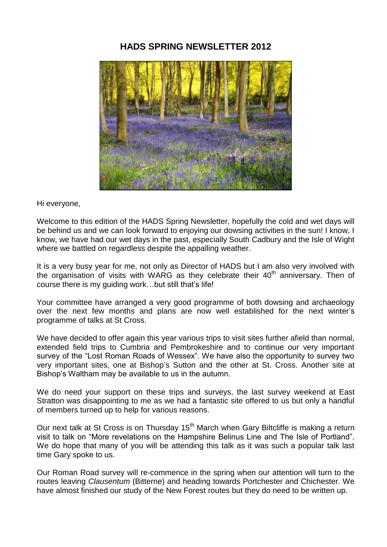# **HADS SPRING NEWSLETTER 2012**



Hi everyone,

Welcome to this edition of the HADS Spring Newsletter, hopefully the cold and wet days will be behind us and we can look forward to enjoying our dowsing activities in the sun! I know, I know, we have had our wet days in the past, especially South Cadbury and the Isle of Wight where we battled on regardless despite the appalling weather.

It is a very busy year for me, not only as Director of HADS but I am also very involved with the organisation of visits with WARG as they celebrate their  $40<sup>th</sup>$  anniversary. Then of course there is my guiding work…but still that's life!

Your committee have arranged a very good programme of both dowsing and archaeology over the next few months and plans are now well established for the next winter's programme of talks at St Cross.

We have decided to offer again this year various trips to visit sites further afield than normal, extended field trips to Cumbria and Pembrokeshire and to continue our very important survey of the "Lost Roman Roads of Wessex". We have also the opportunity to survey two very important sites, one at Bishop's Sutton and the other at St. Cross. Another site at Bishop's Waltham may be available to us in the autumn.

We do need your support on these trips and surveys, the last survey weekend at East Stratton was disappointing to me as we had a fantastic site offered to us but only a handful of members turned up to help for various reasons.

Our next talk at St Cross is on Thursday 15<sup>th</sup> March when Gary Biltcliffe is making a return visit to talk on "More revelations on the Hampshire Belinus Line and The Isle of Portland". We do hope that many of you will be attending this talk as it was such a popular talk last time Gary spoke to us.

Our Roman Road survey will re-commence in the spring when our attention will turn to the routes leaving *Clausentum* (Bitterne) and heading towards Portchester and Chichester. We have almost finished our study of the New Forest routes but they do need to be written up.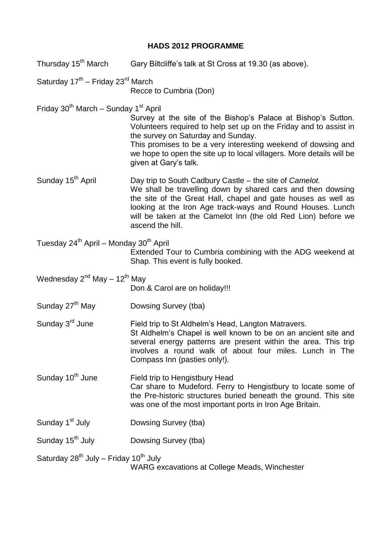## **HADS 2012 PROGRAMME**

- Thursday 15<sup>th</sup> March Gary Biltcliffe's talk at St Cross at 19.30 (as above).
- Saturday 17<sup>th</sup> Friday 23<sup>rd</sup> March

Recce to Cumbria (Don)

Friday  $30^{th}$  March – Sunday 1st April

Survey at the site of the Bishop's Palace at Bishop's Sutton. Volunteers required to help set up on the Friday and to assist in the survey on Saturday and Sunday.

This promises to be a very interesting weekend of dowsing and we hope to open the site up to local villagers. More details will be given at Gary's talk.

Sunday 15<sup>th</sup> April Day trip to South Cadbury Castle – the site of *Camelot.* We shall be travelling down by shared cars and then dowsing the site of the Great Hall, chapel and gate houses as well as looking at the Iron Age track-ways and Round Houses. Lunch will be taken at the Camelot Inn (the old Red Lion) before we ascend the hill.

Tuesday  $24^{th}$  April – Monday  $30^{th}$  April Extended Tour to Cumbria combining with the ADG weekend at Shap. This event is fully booked.

Wednesday  $2^{nd}$  May – 12<sup>th</sup> May

Don & Carol are on holiday!!!

- Sunday 27<sup>th</sup> May Dowsing Survey (tba)
- Sunday 3<sup>rd</sup> June Field trip to St Aldhelm's Head, Langton Matravers. St Aldhelm's Chapel is well known to be on an ancient site and several energy patterns are present within the area. This trip involves a round walk of about four miles. Lunch in The Compass Inn (pasties only!).
- Sunday 10<sup>th</sup> June Field trip to Hengistbury Head Car share to Mudeford. Ferry to Hengistbury to locate some of the Pre-historic structures buried beneath the ground. This site was one of the most important ports in Iron Age Britain.
- Sunday 1<sup>st</sup> July Dowsing Survey (tba)
- Sunday 15<sup>th</sup> July Dowsing Survey (tba)

Saturday  $28^{th}$  July – Friday 10<sup>th</sup> July

WARG excavations at College Meads, Winchester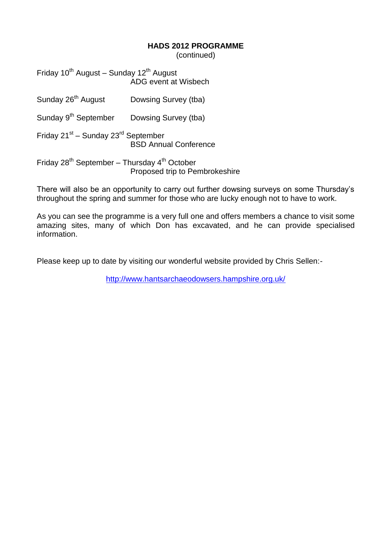#### **HADS 2012 PROGRAMME**

(continued)

Friday  $10^{th}$  August – Sunday  $12^{th}$  August ADG event at Wisbech

| Sunday 26 <sup>th</sup> August                                                              | Dowsing Survey (tba) |
|---------------------------------------------------------------------------------------------|----------------------|
| Sunday 9 <sup>th</sup> September Dowsing Survey (tba)                                       |                      |
| Friday 21 <sup>st</sup> – Sunday 23 <sup>rd</sup> September<br><b>BSD Annual Conference</b> |                      |
| Friday $28^{th}$ September – Thursday $4^{th}$ October                                      |                      |

Proposed trip to Pembrokeshire

There will also be an opportunity to carry out further dowsing surveys on some Thursday's throughout the spring and summer for those who are lucky enough not to have to work.

As you can see the programme is a very full one and offers members a chance to visit some amazing sites, many of which Don has excavated, and he can provide specialised information.

Please keep up to date by visiting our wonderful website provided by Chris Sellen:-

<http://www.hantsarchaeodowsers.hampshire.org.uk/>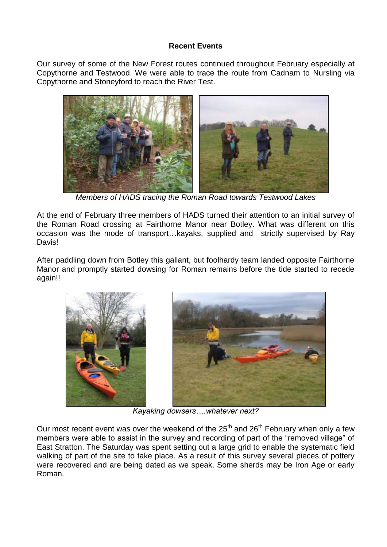### **Recent Events**

Our survey of some of the New Forest routes continued throughout February especially at Copythorne and Testwood. We were able to trace the route from Cadnam to Nursling via Copythorne and Stoneyford to reach the River Test.



*Members of HADS tracing the Roman Road towards Testwood Lakes*

At the end of February three members of HADS turned their attention to an initial survey of the Roman Road crossing at Fairthorne Manor near Botley. What was different on this occasion was the mode of transport…kayaks, supplied and strictly supervised by Ray Davis!

After paddling down from Botley this gallant, but foolhardy team landed opposite Fairthorne Manor and promptly started dowsing for Roman remains before the tide started to recede again!!



*Kayaking dowsers….whatever next?*

Our most recent event was over the weekend of the  $25<sup>th</sup>$  and  $26<sup>th</sup>$  February when only a few members were able to assist in the survey and recording of part of the "removed village" of East Stratton. The Saturday was spent setting out a large grid to enable the systematic field walking of part of the site to take place. As a result of this survey several pieces of pottery were recovered and are being dated as we speak. Some sherds may be Iron Age or early Roman.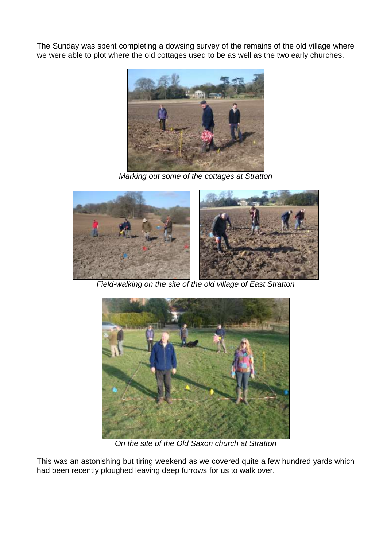The Sunday was spent completing a dowsing survey of the remains of the old village where we were able to plot where the old cottages used to be as well as the two early churches.



*Marking out some of the cottages at Stratton*



*Field-walking on the site of the old village of East Stratton*



*On the site of the Old Saxon church at Stratton*

This was an astonishing but tiring weekend as we covered quite a few hundred yards which had been recently ploughed leaving deep furrows for us to walk over.